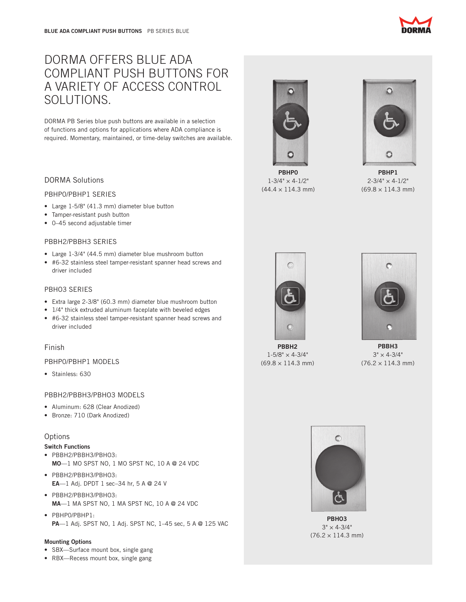# DORMA OFFERS BLUE ADA COMPLIANT PUSH BUTTONS FOR A VARIETY OF ACCESS CONTROL SOLUTIONS.

DORMA PB Series blue push buttons are available in a selection of functions and options for applications where ADA compliance is required. Momentary, maintained, or time-delay switches are available.

# DORMA Solutions

## PBHP0/PBHP1 SERIES

- Large 1-5/8" (41.3 mm) diameter blue button
- Tamper-resistant push button
- • 0–45 second adjustable timer

# PBBH2/PBBH3 SERIES

- Large 1-3/4" (44.5 mm) diameter blue mushroom button
- • #6-32 stainless steel tamper-resistant spanner head screws and driver included

# PBHO3 SERIES

- Extra large 2-3/8" (60.3 mm) diameter blue mushroom button
- 1/4" thick extruded aluminum faceplate with beveled edges
- • #6-32 stainless steel tamper-resistant spanner head screws and driver included

# Finish

# PBHP0/PBHP1 MODELS

• Stainless: 630

# PBBH2/PBBH3/PBHO3 MODELS

- Aluminum: 628 (Clear Anodized)
- • Bronze: 710 (Dark Anodized)

# **Options**

## Switch Functions

- • PBBH2/PBBH3/PBHO3: MO—1 MO SPST NO, 1 MO SPST NC, 10 A @ 24 VDC
- • PBBH2/PBBH3/PBHO3: EA—1 Adj. DPDT 1 sec–34 hr, 5 A @ 24 V
- • PBBH2/PBBH3/PBHO3: MA—1 MA SPST NO, 1 MA SPST NC, 10 A @ 24 VDC
- • PBHP0/PBHP1: PA—1 Adj. SPST NO, 1 Adj. SPST NC, 1–45 sec, 5 A @ 125 VAC

#### Mounting Options

- SBX-Surface mount box, single gang
- RBX—Recess mount box, single gang

PBHP0  $1 - 3/4" \times 4 - 1/2"$  $(44.4 \times 114.3 \text{ mm})$ 

PBHP1  $2 - 3/4" \times 4 - 1/2"$ 

 $(69.8 \times 114.3 \text{ mm})$ 



 $\mathbb{C}$ 

PBBH2  $1\text{-}5/8" \times 4\text{-}3/4"$  $(69.8 \times 114.3 \text{ mm})$ 



PRRH<sub>3</sub>  $3" \times 4 - 3/4"$  $(76.2 \times 114.3 \text{ mm})$ 



PBHO3  $3" \times 4 - 3/4"$  $(76.2 \times 114.3 \text{ mm})$